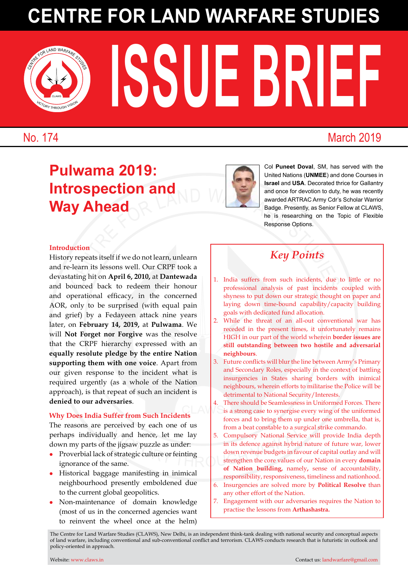# 3 <sup>C</sup>entr<sup>e</sup> <sup>f</sup>o<sup>r</sup> <sup>l</sup>an<sup>d</sup> <sup>w</sup>arfar<sup>e</sup> <sup>s</sup>tud<sup>i</sup>e<sup>s</sup> **Centre for Land Warfare Studies**

**ISSUE BRIEF** 

No. 174 March 2019

VICTORY THROUGH VISION CLAWS

## **Pulwama 2019: Introspection and Way Ahead**



Col **Puneet Doval**, SM, has served with the United Nations (**UNMEE**) and done Courses in **Israel** and **USA**. Decorated thrice for Gallantry and once for devotion to duty, he was recently awarded ARTRAC Army Cdr's Scholar Warrior Badge. Presently, as Senior Fellow at CLAWS, he is researching on the Topic of Flexible Response Options.

CLAWS CLAWS 1

#### **Introduction**

<sup>C</sup>entr<sup>e</sup> <sup>f</sup>o<sup>r</sup> <sup>l</sup>an<sup>d</sup> <sup>w</sup>arfar<sup>e</sup> <sup>s</sup>tud<sup>i</sup>e<sup>s</sup> History repeats itself if we do not learn, unlearn and re-learn its lessons well. Our CRPF took a devastating hit on **April 6, 2010,** at **Dantewada** and bounced back to redeem their honour and operational efficacy, in the concerned AOR, only to be surprised (with equal pain and grief) by a Fedayeen attack nine years later, on **February 14, 2019,** at **Pulwama**. We will **Not Forget nor Forgive** was the resolve that the CRPF hierarchy expressed with an **equally resolute pledge by the entire Nation supporting them with one voice**. Apart from our given response to the incident what is required urgently (as a whole of the Nation approach), is that repeat of such an incident is **denied to our adversaries**.

#### **Why Does India Suffer from Such Incidents**

The reasons are perceived by each one of us perhaps individually and hence, let me lay down my parts of the jigsaw puzzle as under:

- $\bullet$  Proverbial lack of strategic culture or feinting ignorance of the same.
- Historical baggage manifesting in inimical neighbourhood presently emboldened due to the current global geopolitics.
- Non-maintenance of domain knowledge (most of us in the concerned agencies want to reinvent the wheel once at the helm)

### *Key Points*

- 1. India suffers from such incidents, due to little or no professional analysis of past incidents coupled with shyness to put down our strategic thought on paper and laying down time-bound capability/capacity building goals with dedicated fund allocation.
- 2. While the threat of an all-out conventional war has receded in the present times, it unfortunately remains HIGH in our part of the world wherein **border issues are still outstanding between two hostile and adversarial neighbours**.
- 3. Future conflicts will blur the line between Army's Primary and Secondary Roles, especially in the context of battling insurgencies in States sharing borders with inimical neighbours, wherein efforts to militarise the Police will be detrimental to National Security/Interests.
- CLAW<sup>TS</sup> 4. There should be Seamlessness in Uniformed Forces. There is a strong case to synergise every wing of the uniformed forces and to bring them up under one umbrella, that is, from a beat constable to a surgical strike commando.
- Vally and hence, let me lay<br>
to the a state constant to a state of strategic culture or feinting<br>
f strategic culture or feinting<br>
same. 5. Compulsory National Service will provide India depth in its defence against hybrid nature of future war, lower down revenue budgets in favour of capital outlay and will strengthen the core values of our Nation in every **domain of Nation building,** namely**,** sense of accountability, responsibility, responsiveness, timeliness and nationhood.
	- 6. Insurgencies are solved more by **Political Resolve** than any other effort of the Nation.
	- 7. Engagement with our adversaries requires the Nation to practise the lessons from **Arthashastra.**

The Centre for Land Warfare Studies (CLAWS), New Delhi, is an independent think-tank dealing with national security and conceptual aspects of land warfare, including conventional and sub-conventional conflict and terrorism. CLAWS conducts research that is futuristic in outlook and policy-oriented in approach.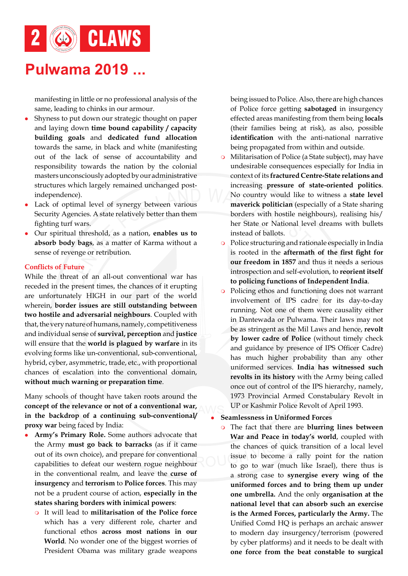### **Pulwama 2019 ...**

manifesting in little or no professional analysis of the same, leading to chinks in our armour.

- Shyness to put down our strategic thought on paper and laying down **time bound capability / capacity building goals** and **dedicated fund allocation**  towards the same, in black and white (manifesting out of the lack of sense of accountability and responsibility towards the nation by the colonial masters unconsciously adopted by our administrative structures which largely remained unchanged postindependence).
- Lack of optimal level of synergy between various Security Agencies. A state relatively better than them fighting turf wars.
- <sup>l</sup> Our spiritual threshold, as a nation, **enables us to absorb body bags**, as a matter of Karma without a sense of revenge or retribution.

#### **Conflicts of Future**

While the threat of an all-out conventional war has receded in the present times, the chances of it erupting are unfortunately HIGH in our part of the world wherein, **border issues are still outstanding between two hostile and adversarial neighbours**. Coupled with that, the very nature of humans, namely, competitiveness and individual sense of **survival, perception** and **justice** will ensure that the **world is plagued by warfare** in its evolving forms like un-conventional, sub-conventional, hybrid, cyber, asymmetric, trade, etc., with proportional chances of escalation into the conventional domain, **without much warning or preparation time**.

**concept of the relevance or not of a conventional war, and**  $\mathbf{C}$  **is the hackdron of a continuing sub-conventional continuing** Many schools of thought have taken roots around the **in the backdrop of a continuing sub-conventional/ proxy war** being faced by India:

- Find that the chance in to the barracks (as if it came<br>of the chances of quick<br>and prepare for conventional<br>of the chances of quick<br>issue to become a r<br>to  $\infty$  to  $\infty$  to war (much **Army's Primary Role.** Some authors advocate that the Army **must go back to barracks** (as if it came out of its own choice), and prepare for conventional capabilities to defeat our western rogue neighbour in the conventional realm, and leave the **curse of insurgency** and **terrorism** to **Police forces**. This may not be a prudent course of action, **especially in the states sharing borders with inimical powers**:
	- <sup>m</sup> It will lead to **militarisation of the Police force** which has a very different role, charter and functional ethos **across most nations in our World**. No wonder one of the biggest worries of President Obama was military grade weapons

being issued to Police. Also, there are high chances of Police force getting **sabotaged** in insurgency effected areas manifesting from them being **locals**  (their families being at risk), as also, possible **identification** with the anti-national narrative being propagated from within and outside.

- Centre in a present times, the chances of it erupting<br>
term and such that the precise is to the chances. A state relatively better than them<br>
the State of National evel dreams<br>
and threshold, as a nation, **enables us to**<br>  $\circ$  Militarisation of Police (a State subject), may have undesirable consequences especially for India in context of its **fractured Centre-State relations and** increasing **pressure of state-oriented politics**. No country would like to witness a **state level maverick politician** (especially of a State sharing borders with hostile neighbours), realising his/ her State or National level dreams with bullets instead of ballots.
	- o Police structuring and rationale especially in India is rooted in the **aftermath of the first fight for our freedom in 1857** and thus it needs a serious introspection and self-evolution, to **reorient itself to policing functions of Independent India**.
	- o Policing ethos and functioning does not warrant involvement of IPS cadre for its day-to-day running. Not one of them were causality either in Dantewada or Pulwama. Their laws may not be as stringent as the Mil Laws and hence, **revolt by lower cadre of Police** (without timely check and guidance by presence of IPS Officer Cadre) has much higher probability than any other uniformed services. **India has witnessed such revolts in its history** with the Army being called once out of control of the IPS hierarchy, namely, 1973 Provincial Armed Constabulary Revolt in UP or Kashmir Police Revolt of April 1993.

#### <sup>l</sup> **Seamlessness in Uniformed Forces**

**o** The fact that there are **blurring lines between War and Peace in today's world**, coupled with the chances of quick transition of a local level issue to become a rally point for the nation to go to war (much like Israel), there thus is a strong case to **synergise every wing of the uniformed forces and to bring them up under one umbrella.** And the only **organisation at the national level that can absorb such an exercise is the Armed Forces, particularly the Army.** The Unified Comd HQ is perhaps an archaic answer to modern day insurgency/terrorism (powered by cyber platforms) and it needs to be dealt with **one force from the beat constable to surgical**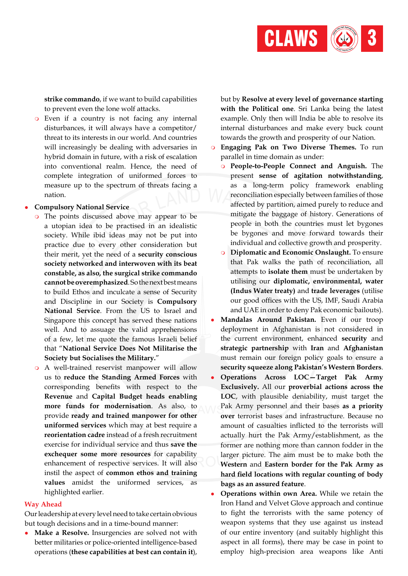

**strike commando**, if we want to build capabilities to prevent even the lone wolf attacks.

<sup>m</sup> Even if a country is not facing any internal disturbances, it will always have a competitor/ threat to its interests in our world. And countries will increasingly be dealing with adversaries in hybrid domain in future, with a risk of escalation into conventional realm. Hence, the need of complete integration of uniformed forces to measure up to the spectrum of threats facing a nation.

#### **• Compulsory National Service**

- **EXECUTE AT ALL THE CONDUCTER SET ASSEM SCHONGE AND PROBATION SERVICE SUBARDIZERT SURFARE STATES SO THE SERVICE STATES SURFARE STATES SURFARE STATES SURFARE STATES SURFARE STATES SURFARE STATES (So the strategy of the stud** o The points discussed above may appear to be a utopian idea to be practised in an idealistic society. While ibid ideas may not be put into practice due to every other consideration but their merit, yet the need of a **security conscious society networked and interwoven with its beat constable, as also, the surgical strike commando cannot be overemphasized**. So the next best means to build Ethos and inculcate a sense of Security and Discipline in our Society is **Compulsory National Service**. From the US to Israel and Singapore this concept has served these nations well. And to assuage the valid apprehensions of a few, let me quote the famous Israeli belief that "**National Service Does Not Militarise the Society but Socialises the Military.**"
- victory and the save the setting in the Sak A<br>al service and thus **save the** former are nothing more<br>**re resources** for capability larger picture. The aim **more funds for modernisation.** As also, to **the modernization**  $\mathbf{P}$ o A well-trained reservist manpower will allow us to **reduce the Standing Armed Forces** with corresponding benefits with respect to the **Revenue** and **Capital Budget heads enabling**  provide **ready and trained manpower for other uniformed services** which may at best require a **reorientation cadre** instead of a fresh recruitment exercise for individual service and thus **save the exchequer some more resources** for capability enhancement of respective services. It will also instil the aspect of **common ethos and training values** amidst the uniformed services, as highlighted earlier.

#### **Way Ahead**

Our leadership at every level need to take certain obvious but tough decisions and in a time-bound manner:

**• Make a Resolve.** Insurgencies are solved not with better militaries or police-oriented intelligence-based operations (**these capabilities at best can contain it**),

but by **Resolve at every level of governance starting with the Political one**. Sri Lanka being the latest example. Only then will India be able to resolve its internal disturbances and make every buck count towards the growth and prosperity of our Nation.

- <sup>m</sup> **Engaging Pak on Two Diverse Themes.** To run parallel in time domain as under:
	- <sup>m</sup> **People-to-People Connect and Anguish.** The present **sense of agitation notwithstanding**, as a long-term policy framework enabling reconciliation especially between families of those affected by partition, aimed purely to reduce and mitigate the baggage of history. Generations of people in both the countries must let bygones be bygones and move forward towards their individual and collective growth and prosperity.
	- **o** Diplomatic and Economic Onslaught. To ensure that Pak walks the path of reconciliation, all attempts to **isolate them** must be undertaken by utilising our **diplomatic, environmental, water (Indus Water treaty)** and **trade leverages** (utilise our good offices with the US, IMF, Saudi Arabia and UAE in order to deny Pak economic bailouts).
- **Mandalas Around Pakistan.** Even if our troop deployment in Afghanistan is not considered in the current environment, enhanced **security** and **strategic partnership** with **Iran** and **Afghanistan**  must remain our foreign policy goals to ensure a **security squeeze along Pakistan's Western Borders**.
- <sup>l</sup> **Operations Across LOC—Target Pak Army Exclusively.** All our **proverbial actions across the LOC**, with plausible deniability, must target the Pak Army personnel and their bases **as a priority over** terrorist bases and infrastructure. Because no amount of casualties inflicted to the terrorists will actually hurt the Pak Army/establishment, as the former are nothing more than cannon fodder in the larger picture. The aim must be to make both the **Western** and **Eastern border for the Pak Army as hard field locations with regular counting of body bags as an assured feature**.
- **Operations within own Area.** While we retain the Iron Hand and Velvet Glove approach and continue to fight the terrorists with the same potency of weapon systems that they use against us instead of our entire inventory (and suitably highlight this aspect in all forms), there may be case in point to employ high-precision area weapons like Anti